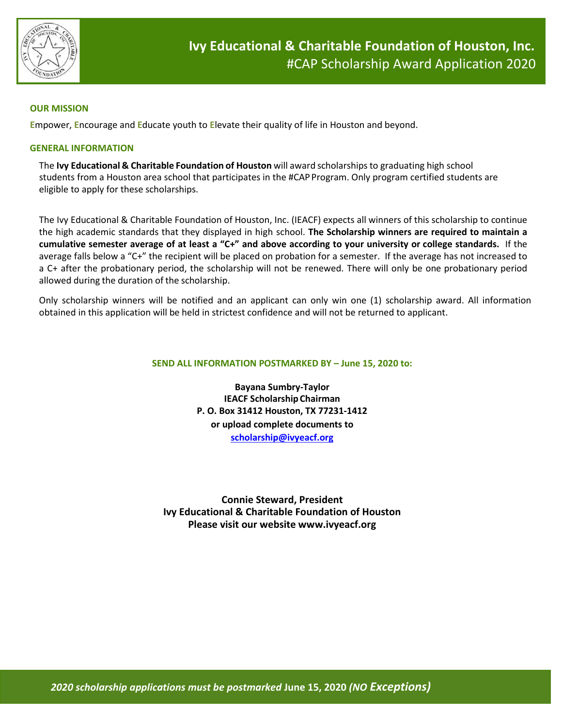

#### **OUR MISSION**

**E**mpower, **E**ncourage and **E**ducate youth to **E**levate their quality of life in Houston and beyond.

### **GENERAL INFORMATION**

The **Ivy Educational & Charitable Foundation of Houston** will award scholarshipsto graduating high school students from a Houston area school that participates in the #CAP Program. Only program certified students are eligible to apply for these scholarships.

The Ivy Educational & Charitable Foundation of Houston, Inc. (IEACF) expects all winners of this scholarship to continue the high academic standards that they displayed in high school. **The Scholarship winners are required to maintain a cumulative semester average of at least a "C+" and above according to your university or college standards.** If the average falls below a "C+" the recipient will be placed on probation for a semester. If the average has not increased to a C+ after the probationary period, the scholarship will not be renewed. There will only be one probationary period allowed during the duration of the scholarship.

Only scholarship winners will be notified and an applicant can only win one (1) scholarship award. All information obtained in this application will be held in strictest confidence and will not be returned to applicant.

### **SEND ALL INFORMATION POSTMARKED BY – June 15, 2020 to:**

**Bayana Sumbry-Taylor IEACF ScholarshipChairman P. O. Box 31412 Houston, TX 77231-1412 or upload complete documents to [scholarship@ivyeacf.org](mailto:scholarship@ivyeacf.org)**

**Connie Steward, President Ivy Educational & Charitable Foundation of Houston Please visit our website [www.ivyeacf.org](http://www.ivyeacf.org/)**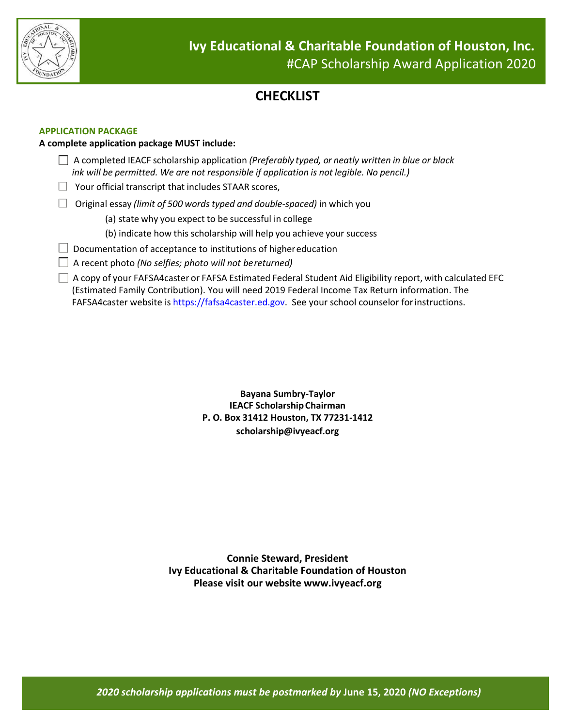

# **CHECKLIST**

## **APPLICATION PACKAGE**

### **A complete application package MUST include:**

- A completed IEACF scholarship application *(Preferably typed, or neatly written in blue or black ink will be permitted. We are not responsible if application is not legible. No pencil.)*
- $\Box$  Your official transcript that includes STAAR scores,

Original essay *(limit of 500 words typed and double-spaced)* in which you

- (a) state why you expect to be successful in college
- (b) indicate how this scholarship will help you achieve your success
- $\Box$  Documentation of acceptance to institutions of highereducation
- A recent photo *(No selfies; photo will not bereturned)*

 $\Box$  A copy of your FAFSA4caster or FAFSA Estimated Federal Student Aid Eligibility report, with calculated EFC (Estimated Family Contribution). You will need 2019 Federal Income Tax Return information. The FAFSA4caster website i[s https://fafsa4caster.ed.gov.](https://fafsa4caster.ed.gov/) See your school counselor for instructions.

> **Bayana Sumbry-Taylor IEACF ScholarshipChairman P. O. Box 31412 Houston, TX 77231-1412 [scholarship@ivyeacf.org](mailto:scholarship@ivyeacf.org)**

**Connie Steward, President Ivy Educational & Charitable Foundation of Houston Please visit our website [www.ivyeacf.org](http://www.ivyeacf.org/)**

*2020 scholarship applications must be postmarked by* **June 15, 2020** *(NO Exceptions)*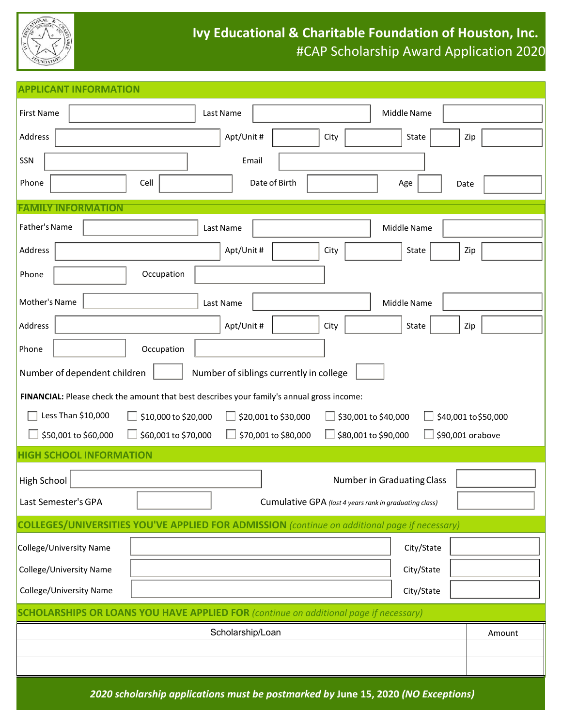

# **Ivy Educational & Charitable Foundation of Houston, Inc.** #CAP Scholarship Award Application 2020

| <b>APPLICANT INFORMATION</b> |  |  |  |  |  |
|------------------------------|--|--|--|--|--|
|------------------------------|--|--|--|--|--|

| <b>AFFLIGAIVE IIVI OINVIATIOIV</b>                                                                                               |                   |  |  |  |  |
|----------------------------------------------------------------------------------------------------------------------------------|-------------------|--|--|--|--|
| <b>First Name</b><br>Last Name                                                                                                   | Middle Name       |  |  |  |  |
| Apt/Unit#<br>Address<br>City                                                                                                     | State<br>Zip      |  |  |  |  |
| SSN<br>Email                                                                                                                     |                   |  |  |  |  |
| Date of Birth<br>Phone<br>Cell                                                                                                   | Age<br>Date       |  |  |  |  |
| FAMILY INFORMATION                                                                                                               |                   |  |  |  |  |
| Father's Name<br>Last Name                                                                                                       | Middle Name       |  |  |  |  |
| Apt/Unit#<br>Address<br>City                                                                                                     | State<br>Zip      |  |  |  |  |
| Occupation<br>Phone                                                                                                              |                   |  |  |  |  |
| Mother's Name<br>Last Name                                                                                                       | Middle Name       |  |  |  |  |
| Apt/Unit #<br>Address<br>City                                                                                                    | State<br>Zip      |  |  |  |  |
| Phone<br>Occupation                                                                                                              |                   |  |  |  |  |
| Number of siblings currently in college<br>Number of dependent children                                                          |                   |  |  |  |  |
|                                                                                                                                  |                   |  |  |  |  |
| FINANCIAL: Please check the amount that best describes your family's annual gross income:                                        |                   |  |  |  |  |
| Less Than \$10,000<br>\$10,000 to \$20,000<br>$\Box$ \$30,001 to \$40,000<br>$\Box$ \$20,001 to \$30,000<br>\$40,001 to \$50,000 |                   |  |  |  |  |
| \$50,001 to \$60,000<br>\$60,001 to \$70,000<br>$\Box$ \$70,001 to \$80,000<br>580,001 to \$90,000                               | \$90,001 or above |  |  |  |  |
| <b>HIGH SCHOOL INFORMATION</b>                                                                                                   |                   |  |  |  |  |
| Number in Graduating Class<br>High School                                                                                        |                   |  |  |  |  |
| Last Semester's GPA<br>Cumulative GPA (last 4 years rank in graduating class)                                                    |                   |  |  |  |  |
| <b>COLLEGES/UNIVERSITIES YOU'VE APPLIED FOR ADMISSION</b> (continue on additional page if necessary)                             |                   |  |  |  |  |
| College/University Name                                                                                                          | City/State        |  |  |  |  |
| College/University Name                                                                                                          | City/State        |  |  |  |  |
| College/University Name                                                                                                          | City/State        |  |  |  |  |
| <b>SCHOLARSHIPS OR LOANS YOU HAVE APPLIED FOR</b> (continue on additional page if necessary)                                     |                   |  |  |  |  |
| Scholarship/Loan                                                                                                                 | Amount            |  |  |  |  |
|                                                                                                                                  |                   |  |  |  |  |
|                                                                                                                                  |                   |  |  |  |  |
| 2020 scholarship applications must be postmarked by June 15, 2020 (NO Exceptions)                                                |                   |  |  |  |  |